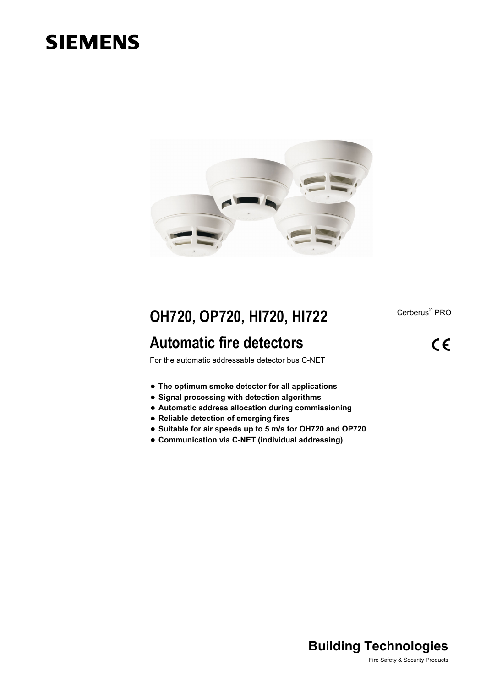# **SIEMENS**



## **OH720, OP720, HI720, HI722**

## **Automatic fire detectors**

Cerberus<sup>®</sup> PRO

 $C \in$ 

For the automatic addressable detector bus C-NET

- **The optimum smoke detector for all applications**
- **Signal processing with detection algorithms**
- **Automatic address allocation during commissioning**
- **Reliable detection of emerging fires**
- **Suitable for air speeds up to 5 m/s for OH720 and OP720**
- **Communication via C-NET (individual addressing)**

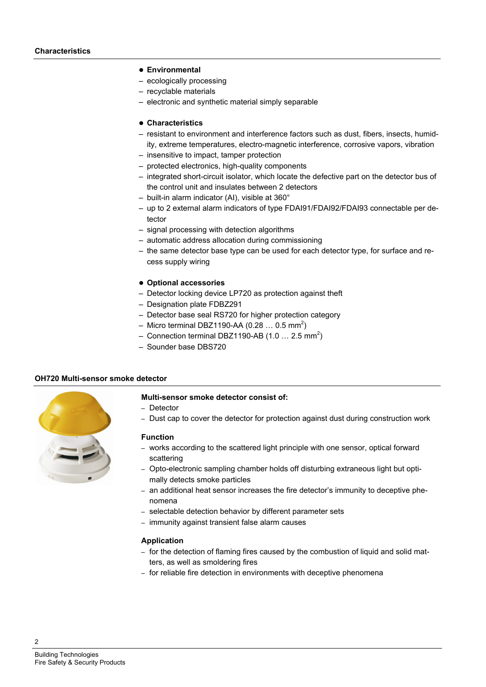#### **Environmental**

- ecologically processing
- recyclable materials
- electronic and synthetic material simply separable

### **Characteristics**

- resistant to environment and interference factors such as dust, fibers, insects, humidity, extreme temperatures, electro-magnetic interference, corrosive vapors, vibration
- insensitive to impact, tamper protection
- protected electronics, high-quality components
- integrated short-circuit isolator, which locate the defective part on the detector bus of the control unit and insulates between 2 detectors
- built-in alarm indicator (AI), visible at 360°
- up to 2 external alarm indicators of type FDAI91/FDAI92/FDAI93 connectable per detector
- signal processing with detection algorithms
- automatic address allocation during commissioning
- the same detector base type can be used for each detector type, for surface and recess supply wiring
- **Optional accessories**
- Detector locking device LP720 as [protection](http://dict.leo.org/ende?lp=ende&p=smQyk.&search=protection) [against](http://dict.leo.org/ende?lp=ende&p=smQyk.&search=against) [theft](http://dict.leo.org/ende?lp=ende&p=smQyk.&search=theft)
- Designation plate FDBZ291
- Detector base seal RS720 for higher protection category
- Micro terminal DBZ1190-AA (0.28 ... 0.5 mm<sup>2</sup>)
- Connection terminal DBZ1190-AB (1.0 ... 2.5 mm<sup>2</sup>)
- Sounder base DBS720

### **OH720 Multi-sensor smoke detector**



## **Multi-sensor smoke detector consist of:**

- Detector
- Dust cap to cover the detector for protection against dust during construction work

#### **Function**

- works according to the scattered light principle with one sensor, optical forward scattering
- Opto-electronic sampling chamber holds off disturbing extraneous light but optimally detects smoke particles
- an additional heat sensor increases the fire detector's immunity to deceptive phenomena
- selectable detection behavior by different parameter sets
- immunity against transient false alarm causes

#### **Application**

- for the detection of flaming fires caused by the combustion of liquid and solid matters, as well as smoldering fires
- for reliable fire detection in environments with deceptive phenomena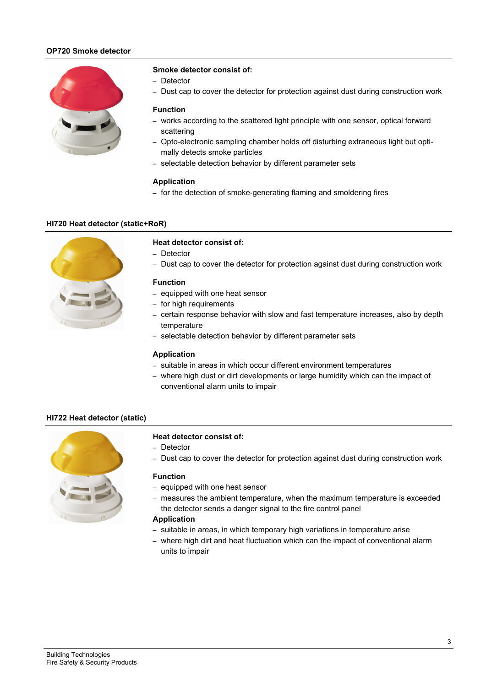## **OP720 Smoke detector**



#### **Smoke detector consist of:**

- Detector
- Dust cap to cover the detector for protection against dust during construction work

#### **Function**

- works according to the scattered light principle with one sensor, optical forward scattering
- Opto-electronic sampling chamber holds off disturbing extraneous light but optimally detects smoke particles
- selectable detection behavior by different parameter sets

#### **Application**

– for the detection of smoke-generating flaming and smoldering fires

#### **HI720 Heat detector (static+RoR)**



#### **Heat detector consist of:**

- Detector
- Dust cap to cover the detector for protection against dust during construction work

#### **Function**

- equipped with one heat sensor
- for high requirements
- certain response behavior with slow and fast temperature increases, also by depth temperature
- selectable detection behavior by different parameter sets

#### **Application**

- suitable in areas in which occur different environment temperatures
- where high dust or dirt developments or large humidity which can the impact of conventional alarm units to impair

#### **HI722 Heat detector (static)**



#### **Heat detector consist of:**

- Detector
- Dust cap to cover the detector for protection against dust during construction work

#### **Function**

- equipped with one heat sensor
- measures the ambient temperature, when the maximum temperature is exceeded the detector sends a danger signal to the fire control panel

#### **Application**

- suitable in areas, in which temporary high variations in temperature arise
- where high dirt and heat fluctuation which can the impact of conventional alarm units to impair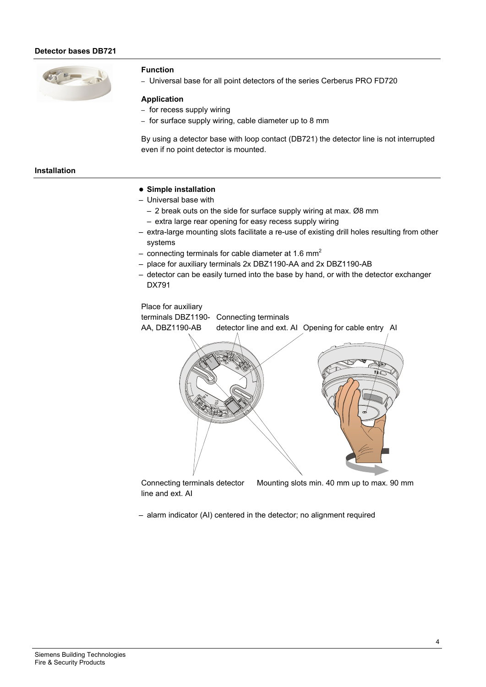#### **Detector bases DB721**



#### **Function**

– Universal base for all point detectors of the series Cerberus PRO FD720

#### **Application**

- for recess supply wiring
- for surface supply wiring, cable diameter up to 8 mm

By using a detector base with loop contact (DB721) the detector line is not interrupted even if no point detector is mounted.

## **Installation**

#### **Simple installation**

- Universal base with
	- 2 break outs on the side for surface supply wiring at max. Ø8 mm
	- extra large rear opening for easy recess supply wiring
- extra-large mounting slots facilitate a re-use of existing drill holes resulting from other systems
- connecting terminals for cable diameter at 1.6  $mm<sup>2</sup>$
- place for auxiliary terminals 2x DBZ1190-AA and 2x DBZ1190-AB
- detector can be easily turned into the base by hand, or with the detector exchanger DX791



Connecting terminals detector line and ext. AI Mounting slots min. 40 mm up to max. 90 mm

– alarm indicator (AI) centered in the detector; no alignment required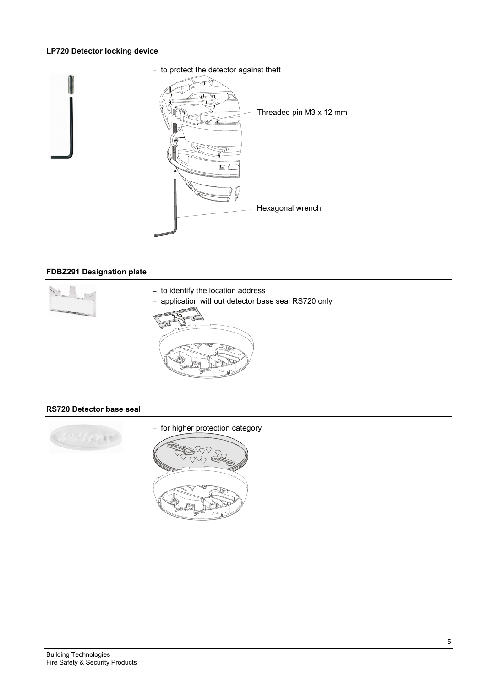## **LP720 Detector locking device**



## **FDBZ291 Designation plate**



- to identify the location address
- application without detector base seal RS720 only



## **RS720 Detector base seal**

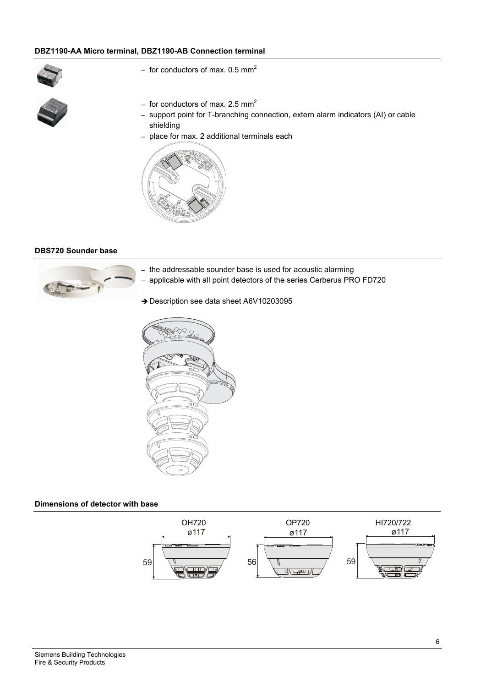## **DBZ1190-AA Micro terminal, DBZ1190-AB Connection terminal**



- for conductors of max.  $0.5$  mm<sup>2</sup>
- for conductors of max. 2.5  $mm<sup>2</sup>$
- support point for T-branching connection, extern alarm indicators (AI) or cable shielding
- place for max. 2 additional terminals each



#### **DBS720 Sounder base**



- the addressable sounder base is used for acoustic alarming
- applicable with all point detectors of the series Cerberus PRO FD720
- → Description see data sheet A6V10203095



#### **Dimensions of detector with base**

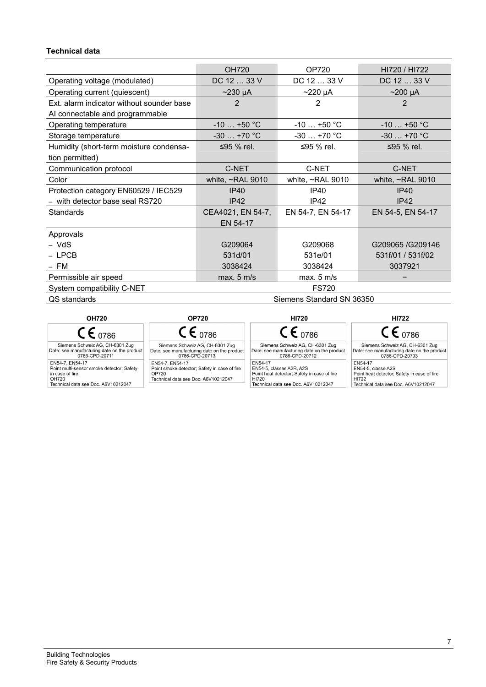## **Technical data**

| <b>OH720</b>                               | OP720                  | HI720 / HI722          |  |
|--------------------------------------------|------------------------|------------------------|--|
| DC 12  33 V                                | DC 12  33 V            | DC 12  33 V            |  |
| $\sim$ 230 µA                              | $\sim$ 220 µA          | $\sim$ 200 µA          |  |
| $\overline{2}$                             | 2                      | 2                      |  |
|                                            |                        |                        |  |
| $-10+50$ °C                                | $-10+50$ °C            | $-10+50$ °C            |  |
| $-30+70$ °C                                | $-30+70$ °C            | $-30+70$ °C            |  |
| $\leq$ 95 % rel.                           | ≤95 % rel.             | ≤95 % rel.             |  |
|                                            |                        |                        |  |
| C-NET                                      | C-NET                  | C-NET                  |  |
| white, ~RAL 9010                           | white, $\sim$ RAL 9010 | white, $\sim$ RAL 9010 |  |
| IP40                                       | <b>IP40</b>            | IP40                   |  |
| IP42                                       | IP42                   | IP42                   |  |
| CEA4021, EN 54-7,                          | EN 54-7, EN 54-17      | EN 54-5, EN 54-17      |  |
| EN 54-17                                   |                        |                        |  |
|                                            |                        |                        |  |
| G209064                                    | G209068                | G209065/G209146        |  |
| 531d/01                                    | 531e/01                | 531f/01 / 531f/02      |  |
| 3038424                                    | 3038424                | 3037921                |  |
| max. 5 m/s                                 | max. 5 m/s             |                        |  |
| <b>FS720</b><br>System compatibility C-NET |                        |                        |  |
| Siemens Standard SN 36350                  |                        |                        |  |
|                                            |                        |                        |  |

**OH720 OP720 HI720 HI722**  $CE_{0786}$  $CE_{0786}$  $CE_{0786}$  $CE_{0786}$ Siemens Schweiz AG, CH-6301 Zug<br>Date: see manufacturing date on the product<br>0786-CPD-20713 Siemens Schweiz AG, CH-6301 Zug<br>Date: see manufacturing date on the product<br>0786-CPD-20711 Siemens Schweiz AG, CH-6301 Zug<br>Date: see manufacturing date on the product<br>0786-CPD-20712 Siemens Schweiz AG, CH-<br>
Date: see manufacturing date on the product<br>
0786-CPD-20793 0786-CPD-20711<br>
EN54-7, EN54-17<br>
Point multi-sensor smoke detector; Safety<br>
in case of fire<br>
OH720<br>
Technical data see Doc. A6V10212047 0786-CPD-20713<br>EN54-7, EN54-17<br>Point smoke detector; Safety in case of fire<br>OP720<br>Technical data see Doc. A6V10212047 EN54-17 EN54-17 EN54-17<br>EN54-5, classes A2R, A2S<br>Point heat detector; Safety in case of fire<br>HI720 EN54-17<br>EN54-5, classe A2S<br>Point hat detector; Safety in case of fire<br>HI722 Technical data see Doc. A6V10212047 Technical data see Doc. A6V10212047